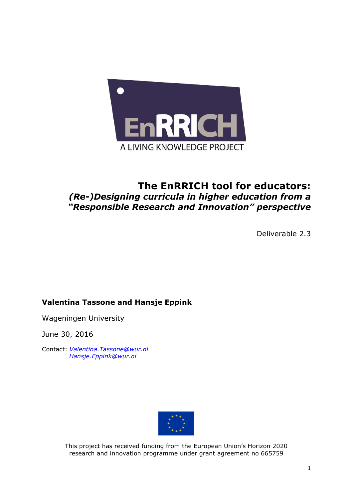

# **The EnRRICH tool for educators:** *(Re-)Designing curricula in higher education from a "Responsible Research and Innovation" perspective*

Deliverable 2.3

# **Valentina Tassone and Hansje Eppink**

Wageningen University

June 30, 2016

Contact: *[Valentina.Tassone@wur.nl](mailto:Valentina.Tassone@wur.nl) [Hansje.Eppink@wur.nl](mailto:Hansje.Eppink@wur.nl)*



This project has received funding from the European Union's Horizon 2020 research and innovation programme under grant agreement no 665759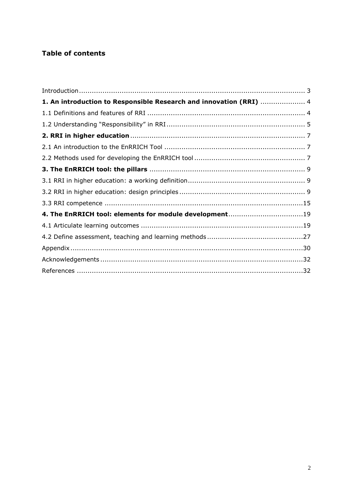# **Table of contents**

| 1. An introduction to Responsible Research and innovation (RRI)  4 |  |
|--------------------------------------------------------------------|--|
|                                                                    |  |
|                                                                    |  |
|                                                                    |  |
|                                                                    |  |
|                                                                    |  |
|                                                                    |  |
|                                                                    |  |
|                                                                    |  |
|                                                                    |  |
| 4. The EnRRICH tool: elements for module development19             |  |
|                                                                    |  |
|                                                                    |  |
|                                                                    |  |
|                                                                    |  |
|                                                                    |  |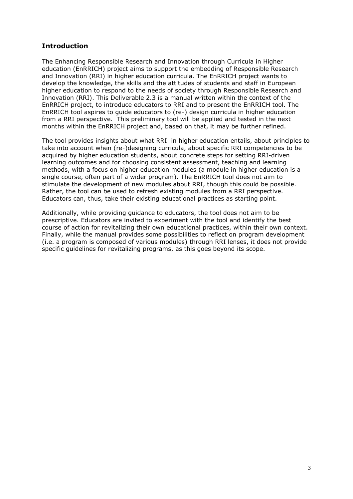# <span id="page-2-0"></span>**Introduction**

The Enhancing Responsible Research and Innovation through Curricula in Higher education (EnRRICH) project aims to support the embedding of Responsible Research and Innovation (RRI) in higher education curricula. The EnRRICH project wants to develop the knowledge, the skills and the attitudes of students and staff in European higher education to respond to the needs of society through Responsible Research and Innovation (RRI). This Deliverable 2.3 is a manual written within the context of the EnRRICH project, to introduce educators to RRI and to present the EnRRICH tool. The EnRRICH tool aspires to guide educators to (re-) design curricula in higher education from a RRI perspective. This preliminary tool will be applied and tested in the next months within the EnRRICH project and, based on that, it may be further refined.

The tool provides insights about what RRI in higher education entails, about principles to take into account when (re-)designing curricula, about specific RRI competencies to be acquired by higher education students, about concrete steps for setting RRI-driven learning outcomes and for choosing consistent assessment, teaching and learning methods, with a focus on higher education modules (a module in higher education is a single course, often part of a wider program). The EnRRICH tool does not aim to stimulate the development of new modules about RRI, though this could be possible. Rather, the tool can be used to refresh existing modules from a RRI perspective. Educators can, thus, take their existing educational practices as starting point.

Additionally, while providing guidance to educators, the tool does not aim to be prescriptive. Educators are invited to experiment with the tool and identify the best course of action for revitalizing their own educational practices, within their own context. Finally, while the manual provides some possibilities to reflect on program development (i.e. a program is composed of various modules) through RRI lenses, it does not provide specific guidelines for revitalizing programs, as this goes beyond its scope.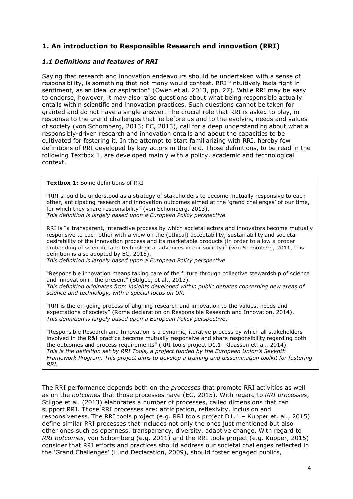# <span id="page-3-0"></span>**1. An introduction to Responsible Research and innovation (RRI)**

## <span id="page-3-1"></span>*1.1 Definitions and features of RRI*

Saying that research and innovation endeavours should be undertaken with a sense of responsibility, is something that not many would contest. RRI "intuitively feels right in sentiment, as an ideal or aspiration" (Owen et al. 2013, pp. 27). While RRI may be easy to endorse, however, it may also raise questions about what being responsible actually entails within scientific and innovation practices. Such questions cannot be taken for granted and do not have a single answer. The crucial role that RRI is asked to play, in response to the grand challenges that lie before us and to the evolving needs and values of society (von Schomberg, 2013; EC, 2013), call for a deep understanding about what a responsibly-driven research and innovation entails and about the capacities to be cultivated for fostering it. In the attempt to start familiarizing with RRI, hereby few definitions of RRI developed by key actors in the field. Those definitions, to be read in the following Textbox 1, are developed mainly with a policy, academic and technological context.

**Textbox 1:** Some definitions of RRI

"RRI should be understood as a strategy of stakeholders to become mutually responsive to each other, anticipating research and innovation outcomes aimed at the 'grand challenges' of our time, for which they share responsibility*"* (von Schomberg, 2013). *This definition is largely based upon a European Policy perspective.* 

RRI is "a transparent, interactive process by which societal actors and innovators become mutually responsive to each other with a view on the (ethical) acceptability, sustainability and societal desirability of the innovation process and its marketable products (in order to allow a proper embedding of scientific and technological advances in our society)" (von Schomberg, 2011, this defintion is also adopted by EC, 2015).

*This definition is largely based upon a European Policy perspective.*

"Responsible innovation means taking care of the future through collective stewardship of science and innovation in the present" (Stilgoe, et al., 2013). *This definition originates from insights developed within public debates concerning new areas of science and technology, with a special focus on UK.*

"RRI is the on-going process of aligning research and innovation to the values, needs and expectations of society" (Rome declaration on Responsible Research and Innovation, 2014). *This definition is largely based upon a European Policy perspective*.

"Responsible Research and Innovation is a dynamic, iterative process by which all stakeholders involved in the R&I practice become mutually responsive and share responsibility regarding both the outcomes and process requirements" (RRI tools project D1.1- Klaassen et. al., 2014). *This is the definition set by RRI Tools, a project funded by the European Union's Seventh Framework Program. This project aims to develop a training and dissemination toolkit for fostering RRI.*

The RRI performance depends both on the *processes* that promote RRI activities as well as on the *outcomes* that those processes have (EC, 2015). With regard to *RRI processes*, Stilgoe et al. (2013) elaborates a number of processes, called dimensions that can support RRI. Those RRI processes are: anticipation, reflexivity, inclusion and responsiveness. The RRI tools project (e.g. RRI tools project D1.4 – Kupper et. al., 2015) define similar RRI processes that includes not only the ones just mentioned but also other ones such as openness, transparency, diversity, adaptive change. With regard to *RRI outcomes*, von Schomberg (e.g. 2011) and the RRI tools project (e.g. Kupper, 2015) consider that RRI efforts and practices should address our societal challenges reflected in the 'Grand Challenges' (Lund Declaration, 2009), should foster engaged publics,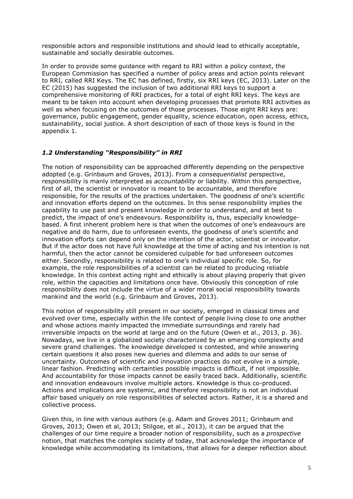responsible actors and responsible institutions and should lead to ethically acceptable, sustainable and socially desirable outcomes.

In order to provide some guidance with regard to RRI within a policy context, the European Commission has specified a number of policy areas and action points relevant to RRI, called RRI Keys. The EC has defined, firstly, six RRI keys (EC, 2013). Later on the EC (2015) has suggested the inclusion of two additional RRI keys to support a comprehensive monitoring of RRI practices, for a total of eight RRI keys. The keys are meant to be taken into account when developing processes that promote RRI activities as well as when focusing on the outcomes of those processes. Those eight RRI keys are: governance, public engagement, gender equality, science education, open access, ethics, sustainability, social justice. A short description of each of those keys is found in the appendix 1.

### <span id="page-4-0"></span>*1.2 Understanding "Responsibility" in RRI*

The notion of responsibility can be approached differently depending on the perspective adopted (e.g. Grinbaum and Groves, 2013). From a *consequentialist* perspective, responsibility is manly interpreted as *accountability* or liability. Within this perspective, first of all, the scientist or innovator is meant to be accountable, and therefore responsible, for the results of the practices undertaken. The goodness of one's scientific and innovation efforts depend on the outcomes. In this sense responsibility implies the capability to use past and present knowledge in order to understand, and at best to predict, the impact of one's endeavours. Responsibility is, thus, especially knowledgebased. A first inherent problem here is that when the outcomes of one's endeavours are negative and do harm, due to unforeseen events, the goodness of one's scientific and innovation efforts can depend only on the intention of the actor, scientist or innovator. But if the actor does not have full knowledge at the time of acting and his intention is not harmful, then the actor cannot be considered culpable for bad unforeseen outcomes either. Secondly, responsibility is related to one's individual specific role. So, for example, the role responsibilities of a scientist can be related to producing reliable knowledge. In this context acting right and ethically is about playing properly that given role, within the capacities and limitations once have. Obviously this conception of role responsibility does not include the virtue of a wider moral social responsibility towards mankind and the world (e.g. Grinbaum and Groves, 2013).

This notion of responsibility still present in our society, emerged in classical times and evolved over time, especially within the life context of people living close to one another and whose actions mainly impacted the immediate surroundings and rarely had irreversible impacts on the world at large and on the future (Owen et al., 2013, p. 36). Nowadays, we live in a globalized society characterized by an emerging complexity and severe grand challenges. The knowledge developed is contested, and while answering certain questions it also poses new queries and dilemma and adds to our sense of uncertainty. Outcomes of scientific and innovation practices do not evolve in a simple, linear fashion. Predicting with certainties possible impacts is difficult, if not impossible. And accountability for those impacts cannot be easily traced back. Additionally, scientific and innovation endeavours involve multiple actors. Knowledge is thus co-produced. Actions and implications are systemic, and therefore responsibility is not an individual affair based uniquely on role responsibilities of selected actors. Rather, it is a shared and collective process.

Given this, in line with various authors (e.g. Adam and Groves 2011; Grinbaum and Groves, 2013; Owen et al, 2013; Stilgoe, et al., 2013), it can be argued that the challenges of our time require a broader notion of responsibility, such as a *prospective* notion, that matches the complex society of today, that acknowledge the importance of knowledge while accommodating its limitations, that allows for a deeper reflection about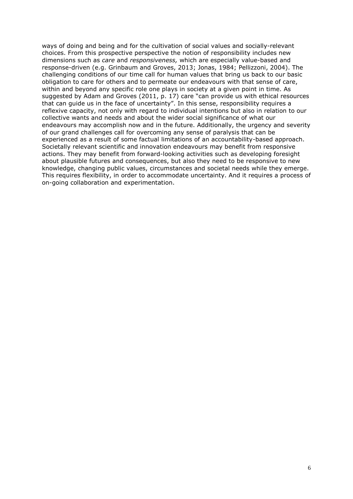ways of doing and being and for the cultivation of social values and socially-relevant choices. From this prospective perspective the notion of responsibility includes new dimensions such as *care* and *responsiveness,* which are especially value-based and response-driven (e.g. Grinbaum and Groves, 2013; Jonas, 1984; Pellizzoni, 2004). The challenging conditions of our time call for human values that bring us back to our basic obligation to care for others and to permeate our endeavours with that sense of care, within and beyond any specific role one plays in society at a given point in time. As suggested by Adam and Groves (2011, p. 17) care "can provide us with ethical resources that can guide us in the face of uncertainty". In this sense, responsibility requires a reflexive capacity, not only with regard to individual intentions but also in relation to our collective wants and needs and about the wider social significance of what our endeavours may accomplish now and in the future. Additionally, the urgency and severity of our grand challenges call for overcoming any sense of paralysis that can be experienced as a result of some factual limitations of an accountability-based approach. Societally relevant scientific and innovation endeavours may benefit from responsive actions. They may benefit from forward-looking activities such as developing foresight about plausible futures and consequences, but also they need to be responsive to new knowledge, changing public values, circumstances and societal needs while they emerge. This requires flexibility, in order to accommodate uncertainty. And it requires a process of on-going collaboration and experimentation.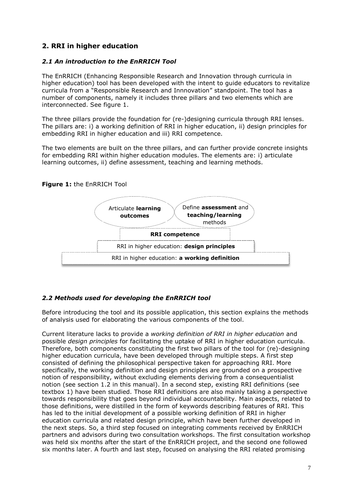# <span id="page-6-0"></span>**2. RRI in higher education**

### <span id="page-6-1"></span>*2.1 An introduction to the EnRRICH Tool*

The EnRRICH (Enhancing Responsible Research and Innovation through curricula in higher education) tool has been developed with the intent to guide educators to revitalize curricula from a "Responsible Research and Innnovation" standpoint. The tool has a number of components, namely it includes three pillars and two elements which are interconnected. See figure 1.

The three pillars provide the foundation for (re-)designing curricula through RRI lenses. The pillars are: i) a working definition of RRI in higher education, ii) design principles for embedding RRI in higher education and iii) RRI competence.

The two elements are built on the three pillars, and can further provide concrete insights for embedding RRI within higher education modules. The elements are: i) articulate learning outcomes, ii) define assessment, teaching and learning methods.

### **Figure 1:** the EnRRICH Tool



### <span id="page-6-2"></span>*2.2 Methods used for developing the EnRRICH tool*

Before introducing the tool and its possible application, this section explains the methods of analysis used for elaborating the various components of the tool.

Current literature lacks to provide a *working definition of RRI in higher education* and possible *design principles* for facilitating the uptake of RRI in higher education curricula. Therefore, both components constituting the first two pillars of the tool for (re)-designing higher education curricula, have been developed through multiple steps. A first step consisted of defining the philosophical perspective taken for approaching RRI. More specifically, the working definition and design principles are grounded on a prospective notion of responsibility, without excluding elements deriving from a consequentialist notion (see section 1.2 in this manual). In a second step, existing RRI definitions (see textbox 1) have been studied. Those RRI definitions are also mainly taking a perspective towards responsibility that goes beyond individual accountability. Main aspects, related to those definitions, were distilled in the form of keywords describing features of RRI. This has led to the initial development of a possible working definition of RRI in higher education curricula and related design principle, which have been further developed in the next steps. So, a third step focused on integrating comments received by EnRRICH partners and advisors during two consultation workshops. The first consultation workshop was held six months after the start of the EnRRICH project, and the second one followed six months later. A fourth and last step, focused on analysing the RRI related promising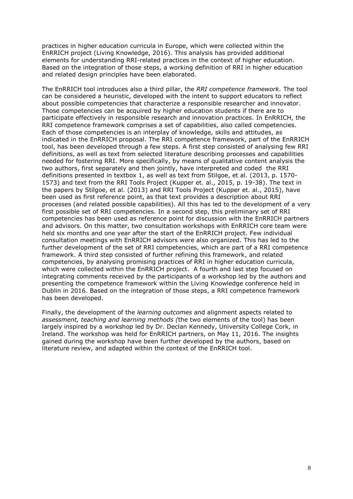practices in higher education curricula in Europe, which were collected within the EnRRICH project (Living Knowledge, 2016). This analysis has provided additional elements for understanding RRI-related practices in the context of higher education. Based on the integration of those steps, a working definition of RRI in higher education and related design principles have been elaborated.

The EnRRICH tool introduces also a third pillar, the *RRI competence framework.* The tool can be considered a heuristic, developed with the intent to support educators to reflect about possible competencies that characterize a responsible researcher and innovator. Those competencies can be acquired by higher education students if there are to participate effectively in responsible research and innovation practices. In EnRRICH, the RRI competence framework comprises a set of capabilities, also called competencies. Each of those competencies is an interplay of knowledge, skills and attitudes, as indicated in the EnRRICH proposal. The RRI competence framework, part of the EnRRICH tool, has been developed through a few steps. A first step consisted of analysing few RRI definitions, as well as text from selected literature describing processes and capabilities needed for fostering RRI. More specifically, by means of qualitative content analysis the two authors, first separately and then jointly, have interpreted and coded the RRI definitions presented in textbox 1, as well as text from Stilgoe, et al. (2013, p. 1570- 1573) and text from the RRI Tools Project (Kupper et. al., 2015, p. 19-38). The text in the papers by Stilgoe, et al. (2013) and RRI Tools Project (Kupper et. al., 2015), have been used as first reference point, as that text provides a description about RRI processes (and related possible capabilities). All this has led to the development of a very first possible set of RRI competencies. In a second step, this preliminary set of RRI competencies has been used as reference point for discussion with the EnRRICH partners and advisors. On this matter, two consultation workshops with EnRRICH core team were held six months and one year after the start of the EnRRICH project. Few individual consultation meetings with EnRRICH advisors were also organized. This has led to the further development of the set of RRI competencies, which are part of a RRI competence framework. A third step consisted of further refining this framework, and related competencies, by analysing promising practices of RRI in higher education curricula, which were collected within the EnRRICH project. A fourth and last step focused on integrating comments received by the participants of a workshop led by the authors and presenting the competence framework within the Living Knowledge conference held in Dublin in 2016. Based on the integration of those steps, a RRI competence framework has been developed.

Finally, the development of the *learning outcomes* and alignment aspects related to *assessment, teaching and learning methods (*the two elements of the tool) has been largely inspired by a workshop led by Dr. Declan Kennedy, University College Cork, in Ireland. The workshop was held for EnRRICH partners, on May 11, 2016. The insights gained during the workshop have been further developed by the authors, based on literature review, and adapted within the context of the EnRRICH tool.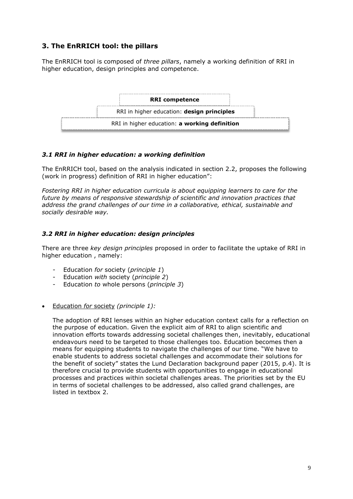# <span id="page-8-0"></span>**3. The EnRRICH tool: the pillars**

The EnRRICH tool is composed of *three pillars*, namely a working definition of RRI in higher education, design principles and competence.



## <span id="page-8-1"></span>*3.1 RRI in higher education: a working definition*

The EnRRICH tool, based on the analysis indicated in section 2.2, proposes the following (work in progress) definition of RRI in higher education":

*Fostering RRI in higher education curricula is about equipping learners to care for the future by means of responsive stewardship of scientific and innovation practices that address the grand challenges of our time in a collaborative, ethical, sustainable and socially desirable way.*

### <span id="page-8-2"></span>*3.2 RRI in higher education: design principles*

There are three *key design principles* proposed in order to facilitate the uptake of RRI in higher education , namely:

- Education *for* society (*principle 1*)
- Education *with* society (*principle 2*)
- Education *to* whole persons (*principle 3*)
- Education *for* society *(principle 1):*

The adoption of RRI lenses within an higher education context calls for a reflection on the purpose of education. Given the explicit aim of RRI to align scientific and innovation efforts towards addressing societal challenges then, inevitably, educational endeavours need to be targeted to those challenges too. Education becomes then a means for equipping students to navigate the challenges of our time. "We have to enable students to address societal challenges and accommodate their solutions for the benefit of society" states the Lund Declaration background paper (2015, p.4). It is therefore crucial to provide students with opportunities to engage in educational processes and practices within societal challenges areas. The priorities set by the EU in terms of societal challenges to be addressed, also called grand challenges, are listed in textbox 2.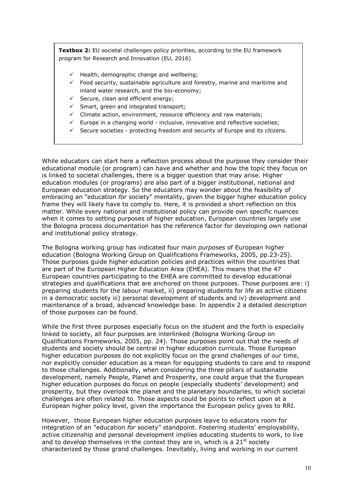**Textbox 2:** EU societal challenges policy priorities, according to the EU framework program for Research and Innovation (EU, 2016)

- $\checkmark$  Health, demographic change and wellbeing;
- $\checkmark$  Food security, sustainable agriculture and forestry, marine and maritime and inland water research, and the bio-economy;
- $\checkmark$  Secure, clean and efficient energy:
- $\checkmark$  Smart, green and integrated transport;
- $\checkmark$  Climate action, environment, resource efficiency and raw materials;
- $\checkmark$  Europe in a changing world inclusive, innovative and reflective societies;
- $\checkmark$  Secure societies protecting freedom and security of Europe and its citizens.

While educators can start here a reflection process about the purpose they consider their educational module (or program) can have and whether and how the topic they focus on is linked to societal challenges, there is a bigger question that may arise. Higher education modules (or programs) are also part of a bigger institutional, national and European education strategy. So the educators may wonder about the feasibility of embracing an "education *for* society" mentality, given the bigger higher education policy frame they will likely have to comply to. Here, it is provided a short reflection on this matter. While every national and institutional policy can provide own specific nuances when it comes to setting purposes of higher education, European countries largely use the Bologna process documentation has the reference factor for developing own national and institutional policy strategy.

The Bologna working group has indicated four main *purposes* of European higher education (Bologna Working Group on Qualifications Frameworks, 2005, pp.23-25). Those purposes guide higher education policies and practices within the countries that are part of the European Higher Education Area (EHEA). This means that the 47 European countries participating to the EHEA are committed to develop educational strategies and qualifications that are anchored on those purposes. Those purposes are: i) preparing students for the labour market, ii) preparing students for life as active citizens in a democratic society iii) personal development of students and iv) development and maintenance of a broad, advanced knowledge base. In appendix 2 a detailed description of those purposes can be found.

While the first three purposes especially focus on the student and the forth is especially linked to society, all four purposes are interlinked (Bologna Working Group on Qualifications Frameworks, 2005, pp. 24). Those purposes point out that the needs of students and society should be central in higher education curricula. Those European higher education purposes do not explicitly focus on the grand challenges of our time, nor explicitly consider education as a mean for equipping students to care and to respond to those challenges. Additionally, when considering the three pillars of sustainable development, namely People, Planet and Prosperity, one could argue that the European higher education purposes do focus on people (especially students' development) and prosperity, but they overlook the planet and the planetary boundaries, to which societal challenges are often related to. Those aspects could be points to reflect upon at a European higher policy level, given the importance the European policy gives to RRI.

However, those European higher education purposes leave to educators room for integration of an "education *for* society" standpoint. Fostering students' employability, active citizenship and personal development implies educating students to work, to live and to develop themselves in the context they are in, which is a  $21<sup>st</sup>$  society characterized by those grand challenges. Inevitably, living and working in our current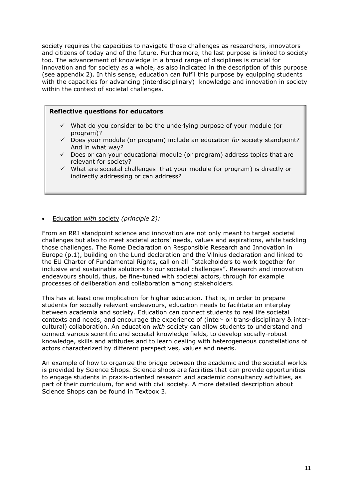society requires the capacities to navigate those challenges as researchers, innovators and citizens of today and of the future. Furthermore, the last purpose is linked to society too. The advancement of knowledge in a broad range of disciplines is crucial for innovation and for society as a whole, as also indicated in the description of this purpose (see appendix 2). In this sense, education can fulfil this purpose by equipping students with the capacities for advancing (interdisciplinary) knowledge and innovation in society within the context of societal challenges.

### **Reflective questions for educators**

- $\checkmark$  What do you consider to be the underlying purpose of your module (or program)?
- Does your module (or program) include an education *for* society standpoint? And in what way?
- $\checkmark$  Does or can your educational module (or program) address topics that are relevant for society?
- $\checkmark$  What are societal challenges that your module (or program) is directly or indirectly addressing or can address?

### Education *with* society *(principle 2):*

From an RRI standpoint science and innovation are not only meant to target societal challenges but also to meet societal actors' needs, values and aspirations, while tackling those challenges. The Rome Declaration on Responsible Research and Innovation in Europe (p.1), building on the Lund declaration and the Vilnius declaration and linked to the EU Charter of Fundamental Rights, call on all "stakeholders to work together for inclusive and sustainable solutions to our societal challenges". Research and innovation endeavours should, thus, be fine-tuned with societal actors, through for example processes of deliberation and collaboration among stakeholders.

This has at least one implication for higher education. That is, in order to prepare students for socially relevant endeavours, education needs to facilitate an interplay between academia and society. Education can connect students to real life societal contexts and needs, and encourage the experience of (inter- or trans-disciplinary & intercultural) collaboration. An education *with* society can allow students to understand and connect various scientific and societal knowledge fields, to develop socially-robust knowledge, skills and attitudes and to learn dealing with heterogeneous constellations of actors characterized by different perspectives, values and needs.

An example of how to organize the bridge between the academic and the societal worlds is provided by Science Shops. Science shops are facilities that can provide opportunities to engage students in praxis-oriented research and academic consultancy activities, as part of their curriculum, for and with civil society. A more detailed description about Science Shops can be found in Textbox 3.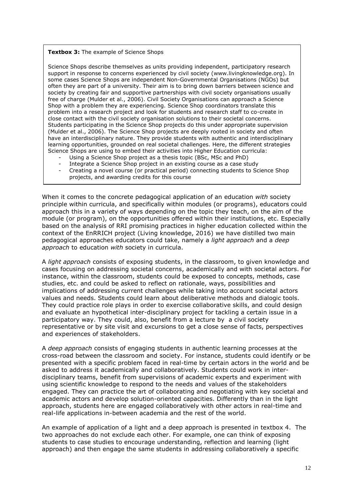### **Textbox 3:** The example of Science Shops

Science Shops describe themselves as units providing independent, participatory research support in response to concerns experienced by civil society [\(www.livingknowledge.org\)](http://www.livingknowledge.org/). In some cases Science Shops are independent Non-Governmental Organisations (NGOs) but often they are part of a university. Their aim is to bring down barriers between science and society by creating fair and supportive partnerships with civil society organisations usually free of charge (Mulder et al., 2006). Civil Society Organisations can approach a Science Shop with a problem they are experiencing. Science Shop coordinators translate this problem into a research project and look for students and research staff to co-create in close contact with the civil society organisation solutions to their societal concerns. Students participating in the Science Shop projects do this under appropriate supervision (Mulder et al., 2006). The Science Shop projects are deeply rooted in society and often have an interdisciplinary nature. They provide students with authentic and interdisciplinary learning opportunities, grounded on real societal challenges. Here, the different strategies Science Shops are using to embed their activities into Higher Education curricula:

- Using a Science Shop project as a thesis topic (BSc, MSc and PhD)
- Integrate a Science Shop project in an existing course as a case study
- Creating a novel course (or practical period) connecting students to Science Shop projects, and awarding credits for this course

When it comes to the concrete pedagogical application of an education *with* society principle within curricula, and specifically within modules (or programs), educators could approach this in a variety of ways depending on the topic they teach, on the aim of the module (or program), on the opportunities offered within their institutions, etc. Especially based on the analysis of RRI promising practices in higher education collected within the context of the EnRRICH project (Living knowledge, 2016) we have distilled two main pedagogical approaches educators could take, namely a *light approach* and a *deep approach* to education *with* society in curricula.

A *light approach* consists of exposing students, in the classroom, to given knowledge and cases focusing on addressing societal concerns, academically and with societal actors. For instance, within the classroom, students could be exposed to concepts, methods, case studies, etc. and could be asked to reflect on rationale, ways, possibilities and implications of addressing current challenges while taking into account societal actors values and needs. Students could learn about deliberative methods and dialogic tools. They could practice role plays in order to exercise collaborative skills, and could design and evaluate an hypothetical inter-disciplinary project for tackling a certain issue in a participatory way. They could, also, benefit from a lecture by a civil society representative or by site visit and excursions to get a close sense of facts, perspectives and experiences of stakeholders.

A *deep approach* consists of engaging students in authentic learning processes at the cross-road between the classroom and society. For instance, students could identify or be presented with a specific problem faced in real-time by certain actors in the world and be asked to address it academically and collaboratively. Students could work in interdisciplinary teams, benefit from supervisions of academic experts and experiment with using scientific knowledge to respond to the needs and values of the stakeholders engaged. They can practice the art of collaborating and negotiating with key societal and academic actors and develop solution-oriented capacities. Differently than in the light approach, students here are engaged collaboratively with other actors in real-time and real-life applications in-between academia and the rest of the world.

An example of application of a light and a deep approach is presented in textbox 4. The two approaches do not exclude each other. For example, one can think of exposing students to case studies to encourage understanding, reflection and learning (light approach) and then engage the same students in addressing collaboratively a specific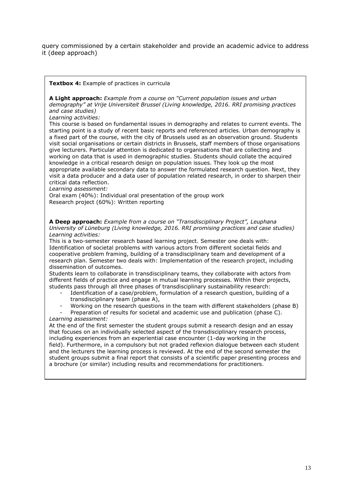query commissioned by a certain stakeholder and provide an academic advice to address it (deep approach)

**Textbox 4:** Example of practices in curricula

**A Light approach:** *Example from a course on "Current population issues and urban demography" at Vrije Universiteit Brussel (Living knowledge, 2016. RRI promising practices and case studies)*

*Learning activities:* 

This course is based on fundamental issues in demography and relates to current events. The starting point is a study of recent basic reports and referenced articles. Urban demography is a fixed part of the course, with the city of Brussels used as an observation ground. Students visit social organisations or certain districts in Brussels, staff members of those organisations give lecturers. Particular attention is dedicated to organisations that are collecting and working on data that is used in demographic studies. Students should collate the acquired knowledge in a critical research design on population issues. They look up the most appropriate available secondary data to answer the formulated research question. Next, they visit a data producer and a data user of population related research, in order to sharpen their critical data reflection.

*Learning assessment:* 

Oral exam (40%): Individual oral presentation of the group work Research project (60%): Written reporting

**A Deep approach:** *Example from a course on "Transdisciplinary Project", Leuphana University of Lüneburg (Living knowledge, 2016. RRI promising practices and case studies) Learning activities:* 

This is a two-semester research based learning project. Semester one deals with: Identification of societal problems with various actors from different societal fields and cooperative problem framing, building of a transdisciplinary team and development of a research plan. Semester two deals with: Implementation of the research project, including dissemination of outcomes.

Students learn to collaborate in transdisciplinary teams, they collaborate with actors from different fields of practice and engage in mutual learning processes. Within their projects, students pass through all three phases of transdisciplinary sustainability research:

- Identification of a case/problem, formulation of a research question, building of a transdisciplinary team (phase A),
- Working on the research questions in the team with different stakeholders (phase B)
- Preparation of results for societal and academic use and publication (phase C). *Learning assessment:*

At the end of the first semester the student groups submit a research design and an essay that focuses on an individually selected aspect of the transdisciplinary research process, including experiences from an experiential case encounter (1-day working in the field). Furthermore, in a compulsory but not graded reflexion dialogue between each student and the lecturers the learning process is reviewed. At the end of the second semester the student groups submit a final report that consists of a scientific paper presenting process and a brochure (or similar) including results and recommendations for practitioners.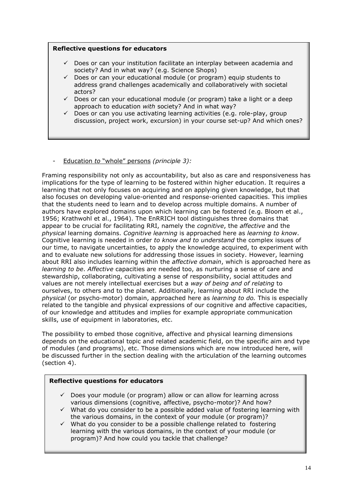### **Reflective questions for educators**

- $\checkmark$  Does or can your institution facilitate an interplay between academia and society? And in what way? (e.g. Science Shops)
- Does or can your educational module (or program) equip students to address grand challenges academically and collaboratively with societal actors?
- $\checkmark$  Does or can your educational module (or program) take a light or a deep approach to education *with* society? And in what way?
- $\checkmark$  Does or can you use activating learning activities (e.g. role-play, group discussion, project work, excursion) in your course set-up? And which ones?
- Education *to* "whole" persons *(principle 3):*

Framing responsibility not only as accountability, but also as care and responsiveness has implications for the type of learning to be fostered within higher education. It requires a learning that not only focuses on acquiring and on applying given knowledge, but that also focuses on developing value-oriented and response-oriented capacities. This implies that the students need to learn and to develop across multiple domains. A number of authors have explored domains upon which learning can be fostered (e.g. Bloom et al., 1956; Krathwohl et al., 1964). The EnRRICH tool distinguishes three domains that appear to be crucial for facilitating RRI, namely the *cognitive*, the *affective* and the *physical* learning domains. *Cognitive learning* is approached here as *learning to know*. Cognitive learning is needed in order *to know and to understand* the complex issues of our time, to navigate uncertainties, to apply the knowledge acquired, to experiment with and to evaluate new solutions for addressing those issues in society. However, learning about RRI also includes learning within the *affective domain*, which is approached here as *learning to be*. *Affective* capacities are needed too, as nurturing a sense of care and stewardship, collaborating, cultivating a sense of responsibility, social attitudes and values are not merely intellectual exercises but a *way of being and of relating* to ourselves, to others and to the planet. Additionally, learning about RRI include the *physical* (or psycho-motor) domain, approached here as *learning to do.* This is especially related to the tangible and physical expressions of our cognitive and affective capacities, of our knowledge and attitudes and implies for example appropriate communication skills, use of equipment in laboratories, etc.

The possibility to embed those cognitive, affective and physical learning dimensions depends on the educational topic and related academic field, on the specific aim and type of modules (and programs), etc. Those dimensions which are now introduced here, will be discussed further in the section dealing with the articulation of the learning outcomes (section 4).

### **Reflective questions for educators**

- $\checkmark$  Does your module (or program) allow or can allow for learning across various dimensions (cognitive, affective, psycho-motor)? And how?
- $\checkmark$  What do you consider to be a possible added value of fostering learning with the various domains, in the context of your module (or program)?
- $\checkmark$  What do you consider to be a possible challenge related to fostering learning with the various domains, in the context of your module (or program)? And how could you tackle that challenge?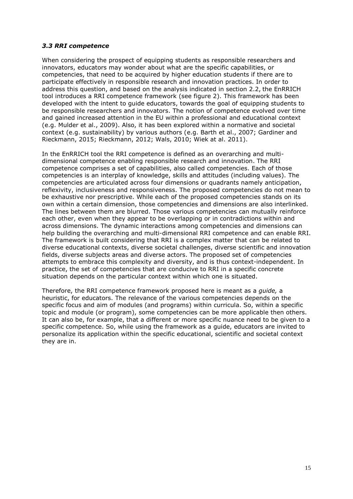### <span id="page-14-0"></span>*3.3 RRI competence*

When considering the prospect of equipping students as responsible researchers and innovators, educators may wonder about what are the specific capabilities, or competencies, that need to be acquired by higher education students if there are to participate effectively in responsible research and innovation practices. In order to address this question, and based on the analysis indicated in section 2.2, the EnRRICH tool introduces a RRI competence framework (see figure 2). This framework has been developed with the intent to guide educators, towards the goal of equipping students to be responsible researchers and innovators. The notion of competence evolved over time and gained increased attention in the EU within a professional and educational context (e.g. Mulder et al., 2009). Also, it has been explored within a normative and societal context (e.g. sustainability) by various authors (e.g. Barth et al., 2007; Gardiner and Rieckmann, 2015; Rieckmann, 2012; Wals, 2010; Wiek at al. 2011).

In the EnRRICH tool the RRI competence is defined as an overarching and multidimensional competence enabling responsible research and innovation. The RRI competence comprises a set of capabilities, also called competencies. Each of those competencies is an interplay of knowledge, skills and attitudes (including values). The competencies are articulated across four dimensions or quadrants namely anticipation, reflexivity, inclusiveness and responsiveness. The proposed competencies do not mean to be exhaustive nor prescriptive. While each of the proposed competencies stands on its own within a certain dimension, those competencies and dimensions are also interlinked. The lines between them are blurred. Those various competencies can mutually reinforce each other, even when they appear to be overlapping or in contradictions within and across dimensions. The dynamic interactions among competencies and dimensions can help building the overarching and multi-dimensional RRI competence and can enable RRI. The framework is built considering that RRI is a complex matter that can be related to diverse educational contexts, diverse societal challenges, diverse scientific and innovation fields, diverse subjects areas and diverse actors. The proposed set of competencies attempts to embrace this complexity and diversity, and is thus context-independent. In practice, the set of competencies that are conducive to RRI in a specific concrete situation depends on the particular context within which one is situated.

Therefore, the RRI competence framework proposed here is meant as a *guide,* a heuristic, for educators. The relevance of the various competencies depends on the specific focus and aim of modules (and programs) within curricula. So, within a specific topic and module (or program), some competencies can be more applicable then others. It can also be, for example, that a different or more specific nuance need to be given to a specific competence. So, while using the framework as a guide, educators are invited to personalize its application within the specific educational, scientific and societal context they are in.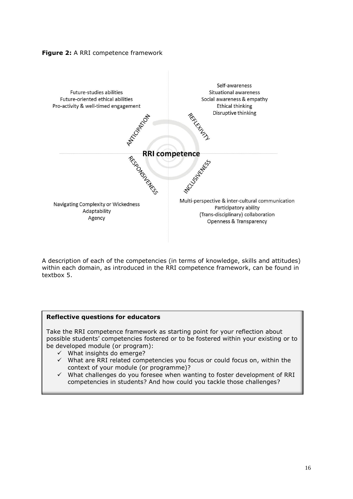



A description of each of the competencies (in terms of knowledge, skills and attitudes) within each domain, as introduced in the RRI competence framework, can be found in textbox 5.

### **Reflective questions for educators**

Take the RRI competence framework as starting point for your reflection about possible students' competencies fostered or to be fostered within your existing or to be developed module (or program):

- $\checkmark$  What insights do emerge?
- $\checkmark$  What are RRI related competencies you focus or could focus on, within the context of your module (or programme)?
- $\checkmark$  What challenges do you foresee when wanting to foster development of RRI competencies in students? And how could you tackle those challenges?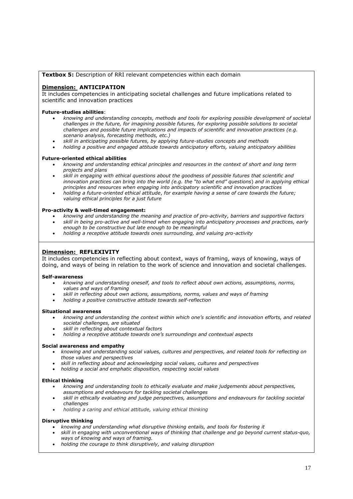### **Textbox 5:** Description of RRI relevant competencies within each domain

#### **Dimension: ANTICIPATION**

It includes competencies in anticipating societal challenges and future implications related to scientific and innovation practices

#### **Future-studies abilities**:

- *knowing and understanding concepts, methods and tools for exploring possible development of societal challenges in the future, for imagining possible futures, for exploring possible solutions to societal challenges and possible future implications and impacts of scientific and innovation practices (e.g. scenario analysis, forecasting methods, etc.)*
- *skill in anticipating possible futures, by applying future-studies concepts and methods*
- *holding a positive and engaged attitude towards anticipatory efforts, valuing anticipatory abilities*

#### **Future-oriented ethical abilities**

- *knowing and understanding ethical principles and resources in the context of short and long term projects and plans*
- *skill in engaging with ethical questions about the goodness of possible futures that scientific and innovation practices can bring into the world (e.g. the "to what end" questions*) *and in applying ethical principles and resources when engaging into anticipatory scientific and innovation practices*
- *holding a future-oriented ethical attitude*, *for example having a sense of care towards the future; valuing ethical principles for a just future*

#### **Pro-activity & well-timed engagement:**

- *knowing and understanding the meaning and practice of pro-activity, barriers and supportive factors skill in being pro-active and well-timed when engaging into anticipatory processes and practices, early*
- *enough to be constructive but late enough to be meaningful*
- *holding a receptive attitude towards ones surrounding, and valuing pro-activity*

#### **Dimension: REFLEXIVITY**

It includes competencies in reflecting about context, ways of framing, ways of knowing, ways of doing, and ways of being in relation to the work of science and innovation and societal challenges.

#### **Self-awareness**

- *knowing and understanding oneself, and tools to reflect about own actions, assumptions, norms, values and ways of framing*
- *skill in reflecting about own actions, assumptions, norms, values and ways of framing*
- *holding a positive constructive attitude towards self-reflection*

#### **Situational awareness**

- *knowing and understanding the context within which one's scientific and innovation efforts, and related societal challenges, are situated*
- *skill in reflecting about contextual factors*
- *holding a receptive attitude towards one's surroundings and contextual aspects*

#### **Social awareness and empathy**

- *knowing and understanding social values, cultures and perspectives, and related tools for reflecting on those values and perspectives*
- *skill in reflecting about and acknowledging social values, cultures and perspectives*
- *holding a social and emphatic disposition, respecting social values*

#### **Ethical thinking**

- *knowing and understanding tools to ethically evaluate and make judgements about perspectives, assumptions and endeavours for tackling societal challenges*
- *skill in ethically evaluating and judge perspectives, assumptions and endeavours for tackling societal challenges*
- *holding a caring and ethical attitude, valuing ethical thinking*

#### **Disruptive thinking**

- *knowing and understanding what disruptive thinking entails, and tools for fostering it*
- *skill in engaging with unconventional ways of thinking that challenge and go beyond current status-quo, ways of knowing and ways of framing.*
- *holding the courage to think disruptively, and valuing disruption*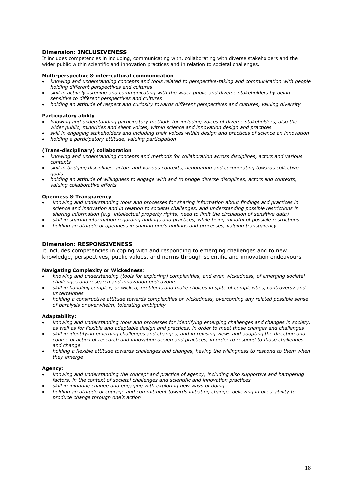### **Dimension: INCLUSIVENESS**

It includes competencies in including, communicating with, collaborating with diverse stakeholders and the wider public within scientific and innovation practices and in relation to societal challenges.

#### **Multi-perspective & inter-cultural communication**

- *knowing and understanding concepts and tools related to perspective-taking and communication with people holding different perspectives and cultures*
- *skill in actively listening and communicating with the wider public and diverse stakeholders by being sensitive to different perspectives and cultures*
- *holding an attitude of respect and curiosity towards different perspectives and cultures, valuing diversity*

#### **Participatory ability**

- *knowing and understanding participatory methods for including voices of diverse stakeholders, also the wider public, minorities and silent voices, within science and innovation design and practices*
- *skill in engaging stakeholders and including their voices within design and practices of science an innovation*
- *holding a participatory attitude, valuing participation*

#### **(Trans-disciplinary) collaboration**

- *knowing and understanding concepts and methods for collaboration across disciplines, actors and various contexts*
- *skill in bridging disciplines, actors and various contexts, negotiating and co-operating towards collective goals*
- *holding an attitude of willingness to engage with and to bridge diverse disciplines, actors and contexts, valuing collaborative efforts*

#### **Openness & Transparency**

- *knowing and understanding tools and processes for sharing information about findings and practices in science and innovation and in relation to societal challenges, and understanding possible restrictions in sharing information (e.g. intellectual property rights, need to limit the circulation of sensitive data)*
- *skill in sharing information regarding findings and practices, while being mindful of possible restrictions holding an attitude of openness in sharing one's findings and processes, valuing transparency*
- 

#### **Dimension: RESPONSIVENESS**

It includes competencies in coping with and responding to emerging challenges and to new knowledge, perspectives, public values, and norms through scientific and innovation endeavours

#### **Navigating Complexity or Wickedness**:

- *knowing and understanding (tools for exploring) complexities, and even wickedness, of emerging societal challenges and research and innovation endeavours*
- *skill in handling complex, or wicked, problems and make choices in spite of complexities, controversy and uncertainties*
- *holding a constructive attitude towards complexities or wickedness, overcoming any related possible sense of paralysis or overwhelm, tolerating ambiguity*

#### **Adaptability:**

- *knowing and understanding tools and processes for identifying emerging challenges and changes in society, as well as for flexible and adaptable design and practices, in order to meet those changes and challenges*
- *skill in identifying emerging challenges and changes, and in revising views and adapting the direction and course of action of research and innovation design and practices, in order to respond to those challenges and change*
- *holding a flexible attitude towards challenges and changes, having the willingness to respond to them when they emerge*

#### **Agency**:

- *knowing and understanding the concept and practice of agency, including also supportive and hampering factors, in the context of societal challenges and scientific and innovation practices*
- *skill in initiating change and engaging with exploring new ways of doing*
- *holding an attitude of courage and commitment towards initiating change, believing in ones' ability to produce change through one's action*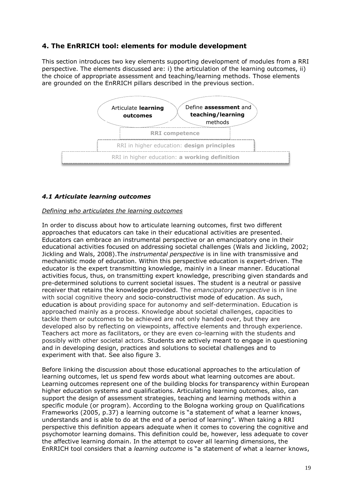# <span id="page-18-0"></span>**4. The EnRRICH tool: elements for module development**

This section introduces two key elements supporting development of modules from a RRI perspective. The elements discussed are: i) the articulation of the learning outcomes, ii) the choice of appropriate assessment and teaching/learning methods. Those elements are grounded on the EnRRICH pillars described in the previous section.



### <span id="page-18-1"></span>*4.1 Articulate learning outcomes*

### *Defining who articulates the learning outcomes*

In order to discuss about how to articulate learning outcomes, first two different approaches that educators can take in their educational activities are presented. Educators can embrace an instrumental perspective or an emancipatory one in their educational activities focused on addressing societal challenges (Wals and Jickling, 2002; Jickling and Wals, 2008).The *instrumental perspective* is in line with transmissive and mechanistic mode of education. Within this perspective education is expert-driven. The educator is the expert transmitting knowledge, mainly in a linear manner. Educational activities focus, thus, on transmitting expert knowledge, prescribing given standards and pre-determined solutions to current societal issues. The student is a neutral or passive receiver that retains the knowledge provided. The *emancipatory perspective* is in line with social cognitive theory and socio-constructivist mode of education. As such, education is about providing space for autonomy and self-determination. Education is approached mainly as a process. Knowledge about societal challenges, capacities to tackle them or outcomes to be achieved are not only handed over, but they are developed also by reflecting on viewpoints, affective elements and through experience. Teachers act more as facilitators, or they are even co-learning with the students and possibly with other societal actors. Students are actively meant to engage in questioning and in developing design, practices and solutions to societal challenges and to experiment with that. See also figure 3.

Before linking the discussion about those educational approaches to the articulation of learning outcomes, let us spend few words about what learning outcomes are about. Learning outcomes represent one of the building blocks for transparency within European higher education systems and qualifications. Articulating learning outcomes, also, can support the design of assessment strategies, teaching and learning methods within a specific module (or program). According to the Bologna working group on Qualifications Frameworks (2005, p.37) a learning outcome is "a statement of what a learner knows, understands and is able to do at the end of a period of learning". When taking a RRI perspective this definition appears adequate when it comes to covering the cognitive and psychomotor learning domains. This definition could be, however, less adequate to cover the affective learning domain. In the attempt to cover all learning dimensions, the EnRRICH tool considers that a *learning outcome* is "a statement of what a learner knows,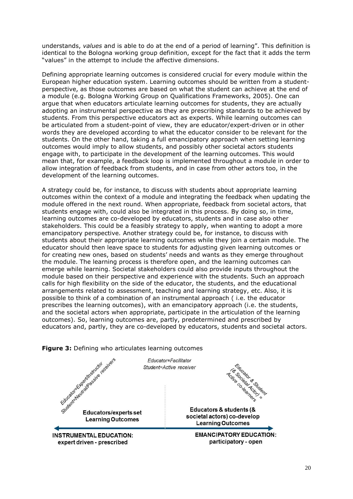understands, *values* and is able to do at the end of a period of learning". This definition is identical to the Bologna working group definition, except for the fact that it adds the term "values" in the attempt to include the affective dimensions.

Defining appropriate learning outcomes is considered crucial for every module within the European higher education system. Learning outcomes should be written from a studentperspective, as those outcomes are based on what the student can achieve at the end of a module (e.g. Bologna Working Group on Qualifications Frameworks, 2005). One can argue that when educators articulate learning outcomes for students, they are actually adopting an instrumental perspective as they are prescribing standards to be achieved by students. From this perspective educators act as experts. While learning outcomes can be articulated from a student-point of view, they are educator/expert-driven or in other words they are developed according to what the educator consider to be relevant for the students. On the other hand, taking a full emancipatory approach when setting learning outcomes would imply to allow students, and possibly other societal actors students engage with, to participate in the development of the learning outcomes. This would mean that, for example, a feedback loop is implemented throughout a module in order to allow integration of feedback from students, and in case from other actors too, in the development of the learning outcomes.

A strategy could be, for instance, to discuss with students about appropriate learning outcomes within the context of a module and integrating the feedback when updating the module offered in the next round. When appropriate, feedback from societal actors, that students engage with, could also be integrated in this process. By doing so, in time, learning outcomes are co-developed by educators, students and in case also other stakeholders. This could be a feasibly strategy to apply, when wanting to adopt a more emancipatory perspective. Another strategy could be, for instance, to discuss with students about their appropriate learning outcomes while they join a certain module. The educator should then leave space to students for adjusting given learning outcomes or for creating new ones, based on students' needs and wants as they emerge throughout the module. The learning process is therefore open, and the learning outcomes can emerge while learning. Societal stakeholders could also provide inputs throughout the module based on their perspective and experience with the students. Such an approach calls for high flexibility on the side of the educator, the students, and the educational arrangements related to assessment, teaching and learning strategy, etc. Also, it is possible to think of a combination of an instrumental approach ( i.e. the educator prescribes the learning outcomes), with an emancipatory approach (i.e. the students, and the societal actors when appropriate, participate in the articulation of the learning outcomes). So, learning outcomes are, partly, predetermined and prescribed by educators and, partly, they are co-developed by educators, students and societal actors.

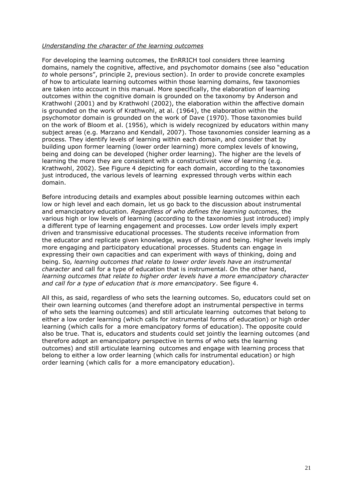### *Understanding the character of the learning outcomes*

For developing the learning outcomes, the EnRRICH tool considers three learning domains, namely the cognitive, affective, and psychomotor domains (see also "education *to* whole persons", principle 2, previous section). In order to provide concrete examples of how to articulate learning outcomes within those learning domains, few taxonomies are taken into account in this manual. More specifically, the elaboration of learning outcomes within the cognitive domain is grounded on the taxonomy by Anderson and Krathwohl (2001) and by Krathwohl (2002), the elaboration within the affective domain is grounded on the work of Krathwohl, at al. (1964), the elaboration within the psychomotor domain is grounded on the work of Dave (1970). Those taxonomies build on the work of Bloom et al. (1956), which is widely recognized by educators within many subject areas (e.g. Marzano and Kendall, 2007). Those taxonomies consider learning as a process. They identify levels of learning within each domain, and consider that by building upon former learning (lower order learning) more complex levels of knowing, being and doing can be developed (higher order learning). The higher are the levels of learning the more they are consistent with a constructivist view of learning (e.g. Krathwohl, 2002). See Figure 4 depicting for each domain, according to the taxonomies just introduced, the various levels of learning expressed through verbs within each domain.

Before introducing details and examples about possible learning outcomes within each low or high level and each domain, let us go back to the discussion about instrumental and emancipatory education*. Regardless of who defines the learning outcomes,* the various high or low levels of learning (according to the taxonomies just introduced) imply a different type of learning engagement and processes. Low order levels imply expert driven and transmissive educational processes. The students receive information from the educator and replicate given knowledge, ways of doing and being. Higher levels imply more engaging and participatory educational processes. Students can engage in expressing their own capacities and can experiment with ways of thinking, doing and being. So*, learning outcomes that relate to lower order levels have an instrumental character* and call for a type of education that is instrumental. On the other hand, *learning outcomes that relate to higher order levels have a more emancipatory character and call for a type of education that is more emancipatory*. See figure 4.

All this, as said, regardless of who sets the learning outcomes. So, educators could set on their own learning outcomes (and therefore adopt an instrumental perspective in terms of who sets the learning outcomes) and still articulate learning outcomes that belong to either a low order learning (which calls for instrumental forms of education) or high order learning (which calls for a more emancipatory forms of education). The opposite could also be true. That is, educators and students could set jointly the learning outcomes (and therefore adopt an emancipatory perspective in terms of who sets the learning outcomes) and still articulate learning outcomes and engage with learning process that belong to either a low order learning (which calls for instrumental education) or high order learning (which calls for a more emancipatory education).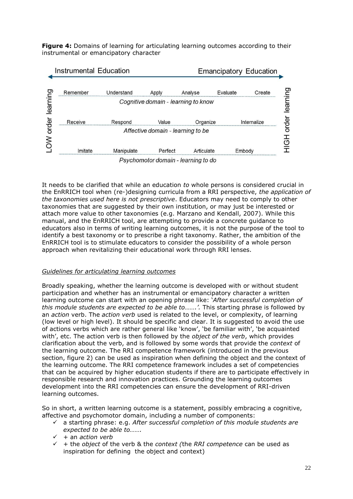**Figure 4:** Domains of learning for articulating learning outcomes according to their instrumental or emancipatory character



It needs to be clarified that while an education *to* whole persons is considered crucial in the EnRRICH tool when (re-)designing curricula from a RRI perspective, *the application of the taxonomies used here is not prescriptive*. Educators may need to comply to other taxonomies that are suggested by their own institution, or may just be interested or attach more value to other taxonomies (e.g. Marzano and Kendall, 2007). While this manual, and the EnRRICH tool, are attempting to provide a concrete guidance to educators also in terms of writing learning outcomes, it is not the purpose of the tool to identify a best taxonomy or to prescribe a right taxonomy. Rather, the ambition of the EnRRICH tool is to stimulate educators to consider the possibility of a whole person approach when revitalizing their educational work through RRI lenses.

### *Guidelines for articulating learning outcomes*

Broadly speaking, whether the learning outcome is developed with or without student participation and whether has an instrumental or emancipatory character a written learning outcome can start with an opening phrase like: '*After successful completion of this module students are expected to be able to…….'.* This starting phrase is followed by an *action* verb. The *action verb* used is related to the level, or complexity, of learning (low level or high level). It should be specific and clear. It is suggested to avoid the use of actions verbs which are rather general like 'know', 'be familiar with', 'be acquainted with', etc. The action verb is then followed by the *object of the verb*, which provides clarification about the verb, and is followed by some words that provide the *context* of the learning outcome. The RRI competence framework (introduced in the previous section, figure 2) can be used as inspiration when defining the object and the context of the learning outcome. The RRI competence framework includes a set of competencies that can be acquired by higher education students if there are to participate effectively in responsible research and innovation practices. Grounding the learning outcomes development into the RRI competencies can ensure the development of RRI-driven learning outcomes.

So in short, a written learning outcome is a statement, possibly embracing a cognitive, affective and psychomotor domain, including a number of components:

- a starting phrase: e.g. *After successful completion of this module students are expected to be able to…….*
- $\checkmark$  + an *action verb*
- $\checkmark$  + the *object* of the verb & the *context* (the *RRI competence* can be used as inspiration for defining the object and context)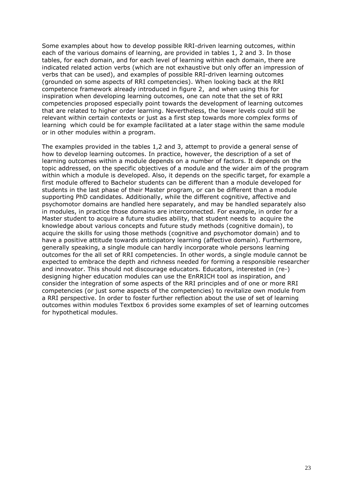Some examples about how to develop possible RRI-driven learning outcomes, within each of the various domains of learning, are provided in tables 1, 2 and 3. In those tables, for each domain, and for each level of learning within each domain, there are indicated related action verbs (which are not exhaustive but only offer an impression of verbs that can be used), and examples of possible RRI-driven learning outcomes (grounded on some aspects of RRI competencies). When looking back at the RRI competence framework already introduced in figure 2, and when using this for inspiration when developing learning outcomes, one can note that the set of RRI competencies proposed especially point towards the development of learning outcomes that are related to higher order learning. Nevertheless, the lower levels could still be relevant within certain contexts or just as a first step towards more complex forms of learning which could be for example facilitated at a later stage within the same module or in other modules within a program.

The examples provided in the tables 1,2 and 3, attempt to provide a general sense of how to develop learning outcomes. In practice, however, the description of a set of learning outcomes within a module depends on a number of factors. It depends on the topic addressed, on the specific objectives of a module and the wider aim of the program within which a module is developed. Also, it depends on the specific target, for example a first module offered to Bachelor students can be different than a module developed for students in the last phase of their Master program, or can be different than a module supporting PhD candidates. Additionally, while the different cognitive, affective and psychomotor domains are handled here separately, and may be handled separately also in modules, in practice those domains are interconnected. For example, in order for a Master student to acquire a future studies ability, that student needs to acquire the knowledge about various concepts and future study methods (cognitive domain), to acquire the skills for using those methods (cognitive and psychomotor domain) and to have a positive attitude towards anticipatory learning (affective domain). Furthermore, generally speaking, a single module can hardly incorporate whole persons learning outcomes for the all set of RRI competencies. In other words, a single module cannot be expected to embrace the depth and richness needed for forming a responsible researcher and innovator. This should not discourage educators. Educators, interested in (re-) designing higher education modules can use the EnRRICH tool as inspiration, and consider the integration of some aspects of the RRI principles and of one or more RRI competencies (or just some aspects of the competencies) to revitalize own module from a RRI perspective. In order to foster further reflection about the use of set of learning outcomes within modules Textbox 6 provides some examples of set of learning outcomes for hypothetical modules.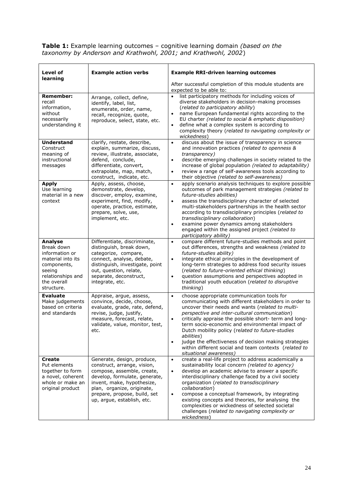**Table 1:** Example learning outcomes – cognitive learning domain *(based on the taxonomy by Anderson and Krathwohl, 2001; and Krathwohl, 2002*)

| Level of<br>learning                                                                                                                    | <b>Example action verbs</b>                                                                                                                                                                                                                        | <b>Example RRI-driven learning outcomes</b>                                                                                                                                                                                                                                                                                                                                                                                                                                                                                                                                        |  |
|-----------------------------------------------------------------------------------------------------------------------------------------|----------------------------------------------------------------------------------------------------------------------------------------------------------------------------------------------------------------------------------------------------|------------------------------------------------------------------------------------------------------------------------------------------------------------------------------------------------------------------------------------------------------------------------------------------------------------------------------------------------------------------------------------------------------------------------------------------------------------------------------------------------------------------------------------------------------------------------------------|--|
|                                                                                                                                         |                                                                                                                                                                                                                                                    | After successful completion of this module students are<br>expected to be able to:                                                                                                                                                                                                                                                                                                                                                                                                                                                                                                 |  |
| <b>Remember:</b><br>recall<br>information,<br>without<br>necessarily<br>understanding it                                                | Arrange, collect, define,<br>identify, label, list,<br>enumerate, order, name,<br>recall, recognize, quote,<br>reproduce, select, state, etc.                                                                                                      | list participatory methods for including voices of<br>$\bullet$<br>diverse stakeholders in decision-making processes<br>(related to participatory ability)<br>name European fundamental rights according to the<br>$\bullet$<br>EU charter (related to social & emphatic disposition)<br>define what a complex system is according to<br>$\bullet$<br>complexity theory (related to navigating complexity or<br>wickedness)                                                                                                                                                        |  |
| <b>Understand</b><br>Construct<br>meaning of<br>instructional<br>messages                                                               | clarify, restate, describe,<br>explain, summarize, discuss,<br>review, illustrate, associate,<br>defend, conclude,<br>differentiate, convert,<br>extrapolate, map, match,<br>construct, indicate, etc.                                             | discuss about the issue of transparency in science<br>$\bullet$<br>and innovation practices (related to openness &<br>transparency)<br>describe emerging challenges in society related to the<br>$\bullet$<br>increase of global population (related to adaptability)<br>review a range of self-awareness tools according to<br>$\bullet$<br>their objective (related to self-awareness)                                                                                                                                                                                           |  |
| <b>Apply</b><br>Use learning<br>material in a new<br>context                                                                            | Apply, assess, choose,<br>demonstrate, develop,<br>discover, employ, examine,<br>experiment, find, modify,<br>operate, practice, estimate,<br>prepare, solve, use,<br>implement, etc.                                                              | apply scenario analysis techniques to explore possible<br>$\bullet$<br>outcomes of park management strategies (related to<br>future-studies abilities)<br>assess the transdisciplinary character of selected<br>$\bullet$<br>multi-stakeholders partnerships in the health sector<br>according to transdisciplinary principles (related to<br>transdisciplinary collaboration)<br>examine power dynamics among stakeholders<br>$\bullet$<br>engaged within the assigned project (related to<br>participatory ability)                                                              |  |
| Analyse<br>Break down<br>information or<br>material into its<br>components,<br>seeing<br>relationships and<br>the overall<br>structure. | Differentiate, discriminate,<br>distinguish, break down,<br>categorize, compare,<br>connect, analyse, debate,<br>distinguish, investigate, point<br>out, question, relate,<br>separate, deconstruct,<br>integrate, etc.                            | compare different future-studies methods and point<br>$\bullet$<br>out differences, strengths and weakness (related to<br>future-studies ability)<br>integrate ethical principles in the development of<br>$\bullet$<br>long-term strategies to address food security issues<br>(related to future-oriented ethical thinking)<br>question assumptions and perspectives adopted in<br>$\bullet$<br>traditional youth education (related to disruptive<br>thinking)                                                                                                                  |  |
| <b>Evaluate</b><br>Make judgements<br>based on criteria<br>and standards                                                                | Appraise, argue, assess,<br>convince, decide, choose,<br>evaluate, grade, rate, defend,<br>revise, judge, justify,<br>measure, forecast, relate,<br>validate, value, monitor, test,<br>etc.                                                        | choose appropriate communication tools for<br>$\bullet$<br>communicating with different stakeholders in order to<br>uncover their needs and wants (related to multi-<br>perspective and inter-cultural communication)<br>critically appraise the possible short- term and long-<br>$\bullet$<br>term socio-economic and environmental impact of<br>Dutch mobility policy (related to future-studies<br><i>abilities</i> )<br>judge the effectiveness of decision making strategies<br>$\bullet$<br>within different social and team contexts (related to<br>situational awareness) |  |
| Create<br>Put elements<br>together to form<br>a novel, coherent<br>whole or make an<br>original product                                 | Generate, design, produce,<br>construct, arrange, vision,<br>compose, assemble, create,<br>develop, formulate, generate,<br>invent, make, hypothesize,<br>plan, organize, originate,<br>prepare, propose, build, set<br>up, argue, establish, etc. | create a real-life project to address academically a<br>$\bullet$<br>sustainability local concern (related to agency)<br>develop an academic advise to answer a specific<br>$\bullet$<br>interdisciplinary challenge faced by a civil society<br>organization (related to transdisciplinary<br>collaboration)<br>compose a conceptual framework, by integrating<br>$\bullet$<br>existing concepts and theories, for analysing the<br>complexities or wickedness of selected societal<br>challenges (related to navigating complexity or<br>wickedness)                             |  |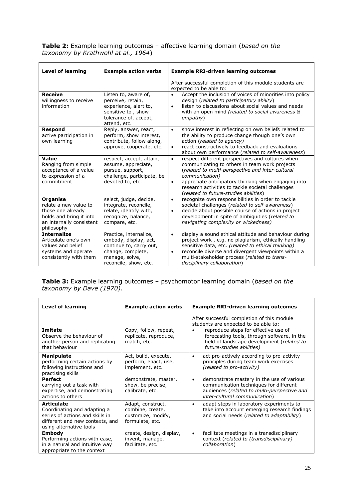| <b>Table 2:</b> Example learning outcomes – affective learning domain (based on the |  |  |
|-------------------------------------------------------------------------------------|--|--|
| taxonomy by Krathwohl at al., 1964)                                                 |  |  |

| <b>Level of learning</b>                                                                                                           | <b>Example action verbs</b>                                                                                                                | <b>Example RRI-driven learning outcomes</b>                                                                                                                                                                                                                                                                                                    |  |
|------------------------------------------------------------------------------------------------------------------------------------|--------------------------------------------------------------------------------------------------------------------------------------------|------------------------------------------------------------------------------------------------------------------------------------------------------------------------------------------------------------------------------------------------------------------------------------------------------------------------------------------------|--|
|                                                                                                                                    |                                                                                                                                            | After successful completion of this module students are<br>expected to be able to:                                                                                                                                                                                                                                                             |  |
| <b>Receive</b><br>willingness to receive<br>information                                                                            | Listen to, aware of,<br>perceive, retain,<br>experience, alert to,<br>sensitive to, show<br>tolerance of, accept,<br>attend, etc.          | Accept the inclusion of voices of minorities into policy<br>$\bullet$<br>design (related to participatory ability)<br>listen to discussions about social values and needs<br>$\bullet$<br>with an open mind (related to social awareness &<br>empathy)                                                                                         |  |
| <b>Respond</b><br>active participation in<br>own learning                                                                          | Reply, answer, react,<br>perform, show interest,<br>contribute, follow along,<br>approve, cooperate, etc.                                  | show interest in reflecting on own beliefs related to<br>$\bullet$<br>the ability to produce change though one's own<br>action (related to agency)<br>react constructively to feedback and evaluations<br>$\bullet$<br>about own performance (related to self-awareness)                                                                       |  |
| Value<br>Ranging from simple<br>acceptance of a value<br>to expression of a<br>commitment                                          | respect, accept, attain,<br>assume, appreciate,<br>pursue, support,<br>challenge, participate, be<br>devoted to, etc.                      | respect different perspectives and cultures when<br>$\bullet$<br>communicating to others in team work projects<br>(related to multi-perspective and inter-cultural<br>communication)<br>appreciate anticipatory thinking when engaging into<br>٠<br>research activities to tackle societal challenges<br>(related to future-studies abilities) |  |
| <b>Organise</b><br>relate a new value to<br>those one already<br>holds and bring it into<br>an internally consistent<br>philosophy | select, judge, decide,<br>integrate, reconcile,<br>relate, identify with,<br>recognize, balance,<br>compare, etc.                          | recognize own responsibilities in order to tackle<br>$\bullet$<br>societal challenges (related to self-awareness)<br>decide about possible course of actions in project<br>$\bullet$<br>development in spite of ambiguities (related to<br>navigating complexity or wickedness)                                                                |  |
| <b>Internalize</b><br>Articulate one's own<br>values and belief<br>systems and operate<br>consistently with them                   | Practice, internalize,<br>embody, display, act,<br>continue to, carry out,<br>change, complete,<br>manage, solve,<br>reconcile, show, etc. | display a sound ethical attitude and behaviour during<br>$\bullet$<br>project work, e.g. no plagiarism, ethically handling<br>sensitive data, etc. (related to ethical thinking)<br>reconcile diverse and divergent viewpoints within a<br>$\bullet$<br>multi-stakeholder process (related to trans-<br>disciplinary collaboration)            |  |

**Table 3:** Example learning outcomes – psychomotor learning domain (*based on the taxonomy by Dave (1970)*.

| <b>Level of learning</b>                                                                                                                          | <b>Example action verbs</b>                                                    | <b>Example RRI-driven learning outcomes</b>                                                                                                                                 |  |
|---------------------------------------------------------------------------------------------------------------------------------------------------|--------------------------------------------------------------------------------|-----------------------------------------------------------------------------------------------------------------------------------------------------------------------------|--|
|                                                                                                                                                   |                                                                                | After successful completion of this module<br>students are expected to be able to:                                                                                          |  |
| Imitate<br>Observe the behaviour of<br>another person and replicating<br>that behaviour                                                           | Copy, follow, repeat,<br>replicate, reproduce,<br>match, etc.                  | reproduce steps for effective use of<br>$\bullet$<br>forecasting tools, through software, in the<br>field of landscape development (related to<br>future-studies abilities) |  |
| <b>Manipulate</b><br>performing certain actions by<br>following instructions and<br>practising skills                                             | Act, build, execute,<br>perform, enact, use,<br>implement, etc.                | act pro-actively according to pro-activity<br>$\bullet$<br>principles during team work exercises<br>(related to pro-activity)                                               |  |
| Perfect<br>carrying out a task with<br>expertise, and demonstrating<br>actions to others                                                          | demonstrate, master,<br>show, be precise,<br>calibrate, etc.                   | demonstrate mastery in the use of various<br>٠<br>communication techniques for different<br>audiences (related to multi-perspective and<br>inter-cultural communication)    |  |
| <b>Articulate</b><br>Coordinating and adapting a<br>series of actions and skills in<br>different and new contexts, and<br>using alternative tools | Adapt, construct,<br>combine, create,<br>customize, modify,<br>formulate, etc. | adapt steps in laboratory experiments to<br>$\bullet$<br>take into account emerging research findings<br>and social needs (related to adaptability)                         |  |
| <b>Embody</b><br>Performing actions with ease,<br>in a natural and intuitive way<br>appropriate to the context                                    | create, design, display,<br>invent, manage,<br>facilitate, etc.                | facilitate meetings in a transdisciplinary<br>$\bullet$<br>context (related to (transdisciplinary)<br>collaboration)                                                        |  |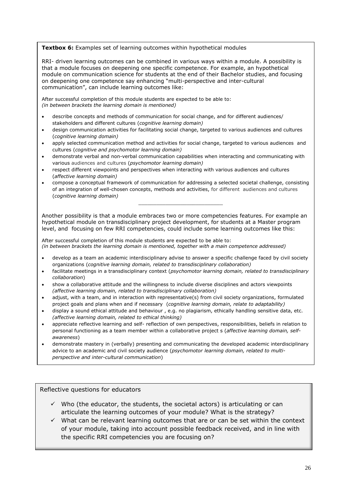### **Textbox 6:** Examples set of learning outcomes within hypothetical modules

RRI- driven learning outcomes can be combined in various ways within a module. A possibility is that a module focuses on deepening one specific competence. For example, an hypothetical module on communication science for students at the end of their Bachelor studies, and focusing on deepening one competence say enhancing "multi-perspective and inter-cultural communication", can include learning outcomes like:

After successful completion of this module students are expected to be able to: *(in between brackets the learning domain is mentioned)*

- describe concepts and methods of communication for social change, and for different audiences/ stakeholders and different cultures (*cognitive learning domain)*
- design communication activities for facilitating social change, targeted to various audiences and cultures (*cognitive learning domain)*
- apply selected communication method and activities for social change, targeted to various audiences and cultures (*cognitive and psychomotor learning domain)*
- demonstrate verbal and non-verbal communication capabilities when interacting and communicating with various audiences and cultures (*psychomotor learning domain)*
- respect different viewpoints and perspectives when interacting with various audiences and cultures (*affective learning domain)*
- compose a conceptual framework of communication for addressing a selected societal challenge, consisting of an integration of well-chosen concepts, methods and activities, for different audiences and cultures (*cognitive learning domain)*

*\_\_\_\_\_\_\_\_\_\_\_\_\_\_\_\_\_\_\_\_\_\_\_\_\_\_\_\_*

Another possibility is that a module embraces two or more competencies features. For example an hypothetical module on transdisciplinary project development, for students at a Master program level, and focusing on few RRI competencies, could include some learning outcomes like this:

After successful completion of this module students are expected to be able to: *(in between brackets the learning domain is mentioned, together with a main competence addressed)*

- develop as a team an academic interdisciplinary advise to answer a specific challenge faced by civil society organizations (*cognitive learning domain, related to transdisciplinary collaboration)*
- facilitate meetings in a transdisciplinary context (*psychomotor learning domain, related to transdisciplinary collaboration*)
- show a collaborative attitude and the willingness to include diverse disciplines and actors viewpoints *(affective learning domain, related to transdisciplinary collaboration)*
- adjust, with a team, and in interaction with representative(s) from civil society organizations, formulated project goals and plans when and if necessary (*cognitive learning domain, relate to adaptability)*
- display a sound ethical attitude and behaviour , e.g. no plagiarism, ethically handling sensitive data, etc. *(affective learning domain, related to ethical thinking)*
- personal functioning as a team member within a collaborative project s (*affective learning domain, self-*<br>awareness) appreciate reflective learning and self- reflection of own perspectives, responsibilities, beliefs in relation to *awareness*)
- demonstrate mastery in (verbally) presenting and communicating the developed academic interdisciplinary advice to an academic and civil society audience (*psychomotor learning domain, related to multiperspective and inter-cultural communication*)

Reflective questions for educators

- $\checkmark$  Who (the educator, the students, the societal actors) is articulating or can articulate the learning outcomes of your module? What is the strategy?
- $\checkmark$  What can be relevant learning outcomes that are or can be set within the context of your module, taking into account possible feedback received, and in line with the specific RRI competencies you are focusing on?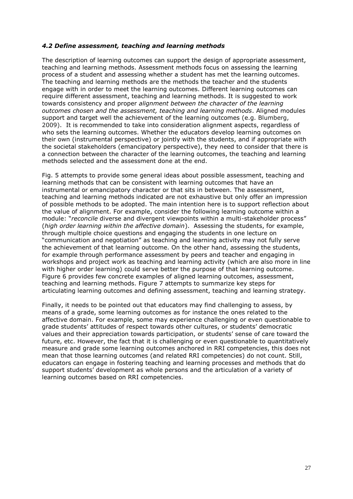### <span id="page-26-0"></span>*4.2 Define assessment, teaching and learning methods*

The description of learning outcomes can support the design of appropriate assessment, teaching and learning methods. Assessment methods focus on assessing the learning process of a student and assessing whether a student has met the learning outcomes. The teaching and learning methods are the methods the teacher and the students engage with in order to meet the learning outcomes. Different learning outcomes can require different assessment, teaching and learning methods. It is suggested to work towards consistency and proper *alignment between the character of the learning outcomes chosen and the assessment, teaching and learning methods*. Aligned modules support and target well the achievement of the learning outcomes (e.g. Blumberg, 2009). It is recommended to take into consideration alignment aspects, regardless of who sets the learning outcomes. Whether the educators develop learning outcomes on their own (instrumental perspective) or jointly with the students, and if appropriate with the societal stakeholders (emancipatory perspective), they need to consider that there is a connection between the character of the learning outcomes, the teaching and learning methods selected and the assessment done at the end.

Fig. 5 attempts to provide some general ideas about possible assessment, teaching and learning methods that can be consistent with learning outcomes that have an instrumental or emancipatory character or that sits in between. The assessment, teaching and learning methods indicated are not exhaustive but only offer an impression of possible methods to be adopted. The main intention here is to support reflection about the value of alignment. For example, consider the following learning outcome within a module: "*reconcile* diverse and divergent viewpoints within a multi-stakeholder process" (*high order learning within the affective domain*). Assessing the students, for example, through multiple choice questions and engaging the students in one lecture on "communication and negotiation" as teaching and learning activity may not fully serve the achievement of that learning outcome. On the other hand, assessing the students, for example through performance assessment by peers and teacher and engaging in workshops and project work as teaching and learning activity (which are also more in line with higher order learning) could serve better the purpose of that learning outcome. Figure 6 provides few concrete examples of aligned learning outcomes, assessment, teaching and learning methods. Figure 7 attempts to summarize key steps for articulating learning outcomes and defining assessment, teaching and learning strategy.

Finally, it needs to be pointed out that educators may find challenging to assess, by means of a grade, some learning outcomes as for instance the ones related to the affective domain. For example, some may experience challenging or even questionable to grade students' attitudes of respect towards other cultures, or students' democratic values and their appreciation towards participation, or students' sense of care toward the future, etc. However, the fact that it is challenging or even questionable to quantitatively measure and grade some learning outcomes anchored in RRI competencies, this does not mean that those learning outcomes (and related RRI competencies) do not count. Still, educators can engage in fostering teaching and learning processes and methods that do support students' development as whole persons and the articulation of a variety of learning outcomes based on RRI competencies.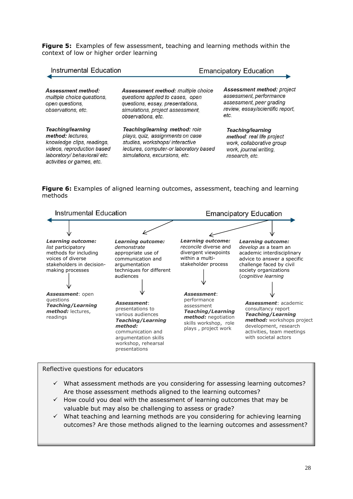**Figure 5:** Examples of few assessment, teaching and learning methods within the context of low or higher order learning

| <b>Instrumental Education</b>                                                                                                                                   |                                                                                                                                                                                 | <b>Emancipatory Education</b>                                                                                                 |  |
|-----------------------------------------------------------------------------------------------------------------------------------------------------------------|---------------------------------------------------------------------------------------------------------------------------------------------------------------------------------|-------------------------------------------------------------------------------------------------------------------------------|--|
| Assessment method:<br>multiple choice questions.<br>open questions,<br>observations, etc.                                                                       | Assessment method: multiple choice<br>questions applied to cases, open<br>questions, essay, presentations,<br>simulations, project assessment,<br>observations, etc.            | Assessment method: project<br>assessment, performance<br>assessment, peer grading<br>review, essay/scientific report,<br>etc. |  |
| Teaching/learning<br>method: lectures.<br>knowledge clips, readings,<br>videos, reproduction based<br>laboratory/ behavioral/ etc.<br>activities or games, etc. | Teaching/learning method: role<br>plays, quiz, assignments on case<br>studies, workshops/interactive<br>lectures, computer-or laboratory based<br>simulations, excursions, etc. | Teaching/learning<br>method: real life project<br>work, collaborative group<br>work, journal writing,<br>research, etc.       |  |

**Figure 6:** Examples of aligned learning outcomes, assessment, teaching and learning methods



### Reflective questions for educators

- $\checkmark$  What assessment methods are you considering for assessing learning outcomes? Are those assessment methods aligned to the learning outcomes?
- $\checkmark$  How could you deal with the assessment of learning outcomes that may be valuable but may also be challenging to assess or grade?
- $\checkmark$  What teaching and learning methods are you considering for achieving learning outcomes? Are those methods aligned to the learning outcomes and assessment?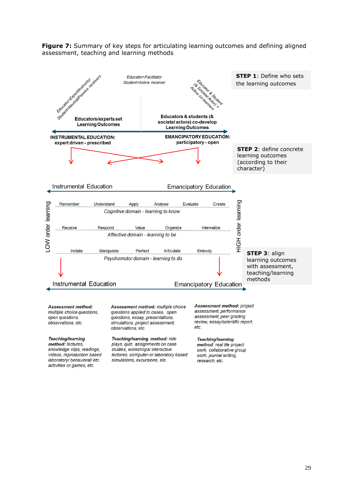**Figure 7:** Summary of key steps for articulating learning outcomes and defining aligned assessment, teaching and learning methods



Assessment method: multiple choice questions, open questions, observations, etc.

#### Teaching/learning

method: lectures, knowledge clips, readings, videos, reproduction based laboratory/ behavioral/ etc. activities or games, etc.

Assessment method: multiple choice questions applied to cases, open questions, essay, presentations, simulations, project assessment, observations, etc.

Teaching/learning method: role plays, quiz, assignments on case studies, workshops/interactive lectures, computer-or laboratory based simulations, excursions, etc.

Assessment method: project assessment, performance assessment, peer grading review, essay/scientific report,  $etc.$ 

#### Teaching/learning

method: real life project work, collaborative group work, journal writing, research, etc.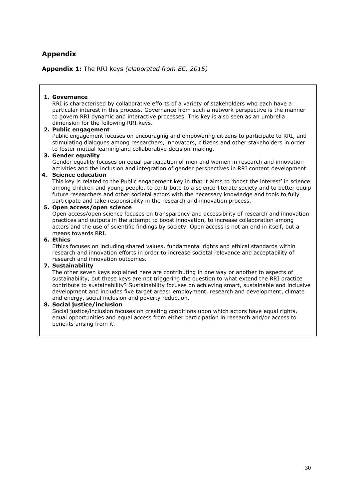# <span id="page-29-0"></span>**Appendix**

**Appendix 1:** The RRI keys *(elaborated from EC, 2015)*

### **1. Governance**

RRI is characterised by collaborative efforts of a variety of stakeholders who each have a particular interest in this process. Governance from such a network perspective is the manner to govern RRI dynamic and interactive processes. This key is also seen as an umbrella dimension for the following RRI keys.

### **2. Public engagement**

Public engagement focuses on encouraging and empowering citizens to participate to RRI, and stimulating dialogues among researchers, innovators, citizens and other stakeholders in order to foster mutual learning and collaborative decision-making.

### **3. Gender equality**

Gender equality focuses on equal participation of men and women in research and innovation activities and the inclusion and integration of gender perspectives in RRI content development.

### **4. Science education**

This key is related to the Public engagement key in that it aims to 'boost the interest' in science among children and young people, to contribute to a science-literate society and to better equip future researchers and other societal actors with the necessary knowledge and tools to fully participate and take responsibility in the research and innovation process.

### **5. Open access/open science**

Open access/open science focuses on transparency and accessibility of research and innovation practices and outputs in the attempt to boost innovation, to increase collaboration among actors and the use of scientific findings by society. Open access is not an end in itself, but a means towards RRI.

### **6. Ethics**

Ethics focuses on including shared values, fundamental rights and ethical standards within research and innovation efforts in order to increase societal relevance and acceptability of research and innovation outcomes.

### **7. Sustainability**

The other seven keys explained here are contributing in one way or another to aspects of sustainability, but these keys are not triggering the question to what extend the RRI practice contribute to sustainability? Sustainability focuses on achieving smart, sustainable and inclusive development and includes five target areas: employment, research and development, climate and energy, social inclusion and poverty reduction.

### **8. Social justice/inclusion**

Social justice/inclusion focuses on creating conditions upon which actors have equal rights, equal opportunities and equal access from either participation in research and/or access to benefits arising from it.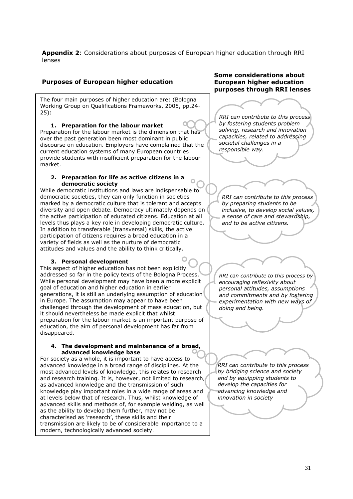**Appendix 2**: Considerations about purposes of European higher education through RRI lenses

 $\Omega$ 

### **Purposes of European higher education**

The four main purposes of higher education are: (Bologna Working Group on Qualifications Frameworks, 2005, pp.24- 25):

### **1. Preparation for the labour market**

 Preparation for the labour market is the dimension that has over the past generation been most dominant in public current education systems of many European countries provide students with insufficient preparation for the labour market. discourse on education. Employers have complained that the

#### $\overline{\phantom{a}}$  **2. Preparation for life as active citizens in a democratic society**

 While democratic institutions and laws are indispensable to democratic societies, they can only function in societies diversity and open debate. Democracy ultimately depends on the active participation of educated citizens. Education at all levels thus plays a key role in developing democratic culture. In addition to transferable (transversal) skills, the active variety of fields as well as the nurture of democratic attitudes and values and the ability to think critically. marked by a democratic culture that is tolerant and accepts participation of citizens requires a broad education in a

#### **3. Personal development**

**S.** Personal development<br>This aspect of higher education has not been explicitly addressed so far in the policy texts of the Bologna Process. While personal development may have been a more explicit goal of education and higher education in earlier generations, it is still an underlying assumption of education in Europe. The assumption may appear to have been challenged through the development of mass education, but it should nevertheless be made explicit that whilst preparation for the labour market is an important purpose of education, the aim of personal development has far from disappeared.

#### **4. The development and maintenance of a broad, advanced knowledge base**

For society as a whole, it is important to have access to advanced knowledge in a broad range of disciplines. At the most advanced levels of knowledge, this relates to research and research training. It is, however, not limited to research, as advanced knowledge and the transmission of such knowledge play important roles in a wide range of areas and at levels below that of research. Thus, whilst knowledge of advanced skills and methods of, for example welding, as well as the ability to develop them further, may not be characterised as 'research', these skills and their transmission are likely to be of considerable importance to a modern, technologically advanced society.

### **Some considerations about European higher education purposes through RRI lenses**

*RRI can contribute to this process by fostering students problem solving, research and innovation capacities, related to addressing societal challenges in a responsible way.*

*RRI can contribute to this process by preparing students to be inclusive, to develop social values, a sense of care and stewardship, and to be active citizens.*

*RRI can contribute to this process by encouraging reflexivity about personal attitudes, assumptions and commitments and by fostering experimentation with new ways of doing and being.*

*RRI can contribute to this process by bridging science and society and by equipping students to develop the capacities for advancing knowledge and innovation in society*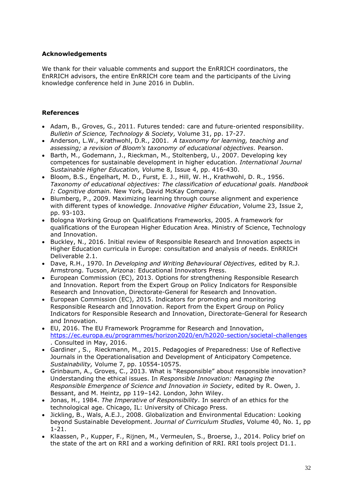### <span id="page-31-0"></span>**Acknowledgements**

We thank for their valuable comments and support the EnRRICH coordinators, the EnRRICH advisors, the entire EnRRICH core team and the participants of the Living knowledge conference held in June 2016 in Dublin.

### <span id="page-31-1"></span>**References**

- Adam, B., Groves, G., 2011. Futures tended: care and future-oriented responsibility. *Bulletin of Science, Technology & Society,* Volume 31, pp. 17-27.
- Anderson, L.W., Krathwohl, D.R., 2001. *A taxonomy for learning, teaching and assessing; a revision of Bloom's taxonomy of educational objectives.* Pearson.
- Barth, M., Godemann, J., Rieckman, M., Stoltenberg, U., 2007. Developing key competences for sustainable development in higher education*. International Journal Sustainable Higher Education, V*olume 8, Issue 4, pp. 416-430.
- Bloom, B.S*.,* Engelhart, M. D., Furst, E. J., Hill, W. H., Krathwohl, D. R., 1956. *Taxonomy of educational objectives: The classification of educational goals. Handbook I: Cognitive domain.* New York, David McKay Company.
- Blumberg, P., 2009. Maximizing learning through course alignment and experience with different types of knowledge. *Innovative Higher Education*, Volume 23, Issue 2, pp. 93-103.
- Bologna Working Group on Qualifications Frameworks, 2005. A framework for qualifications of the European Higher Education Area. Ministry of Science, Technology and Innovation.
- Buckley, N., 2016. Initial review of Responsible Research and Innovation aspects in Higher Education curricula in Europe: consultation and analysis of needs. EnRRICH Deliverable 2.1.
- Dave, R.H., 1970. In *Developing and Writing Behavioural Objectives,* edited by R.J. Armstrong. Tucson, Arizona: Educational Innovators Press.
- European Commission (EC), 2013. Options for strengthening Responsible Research and Innovation. Report from the Expert Group on Policy Indicators for Responsible Research and Innovation, Directorate-General for Research and Innovation.
- European Commission (EC), 2015. Indicators for promoting and monitoring Responsible Research and Innovation. Report from the Expert Group on Policy Indicators for Responsible Research and Innovation, Directorate-General for Research and Innovation.
- EU, 2016. The EU Framework Programme for Research and Innovation, <https://ec.europa.eu/programmes/horizon2020/en/h2020-section/societal-challenges> . Consulted in May, 2016.
- Gardiner , S., Rieckmann, M., 2015. Pedagogies of Preparedness: Use of Reflective Journals in the Operationalisation and Development of Anticipatory Competence. *Sustainability,* Volume 7, pp. 10554-10575.
- Grinbaum, A., Groves, C., 2013. What is "Responsible" about responsible innovation? Understanding the ethical issues. In *Responsible Innovation: Managing the Responsible Emergence of Science and Innovation in Society*, edited by R. Owen, J. Bessant, and M. Heintz, pp 119–142. London, John Wiley.
- Jonas, H., 1984. *The Imperative of Responsibility*. In search of an ethics for the technological age. Chicago, IL: University of Chicago Press.
- Jickling, B., Wals, A.E.J., 2008. Globalization and Environmental Education: Looking beyond Sustainable Development. *Journal of Curriculum Studies*, Volume 40, No. 1, pp 1-21.
- Klaassen, P., Kupper, F., Rijnen, M., Vermeulen, S., Broerse, J., 2014. Policy brief on the state of the art on RRI and a working definition of RRI. RRI tools project D1.1.